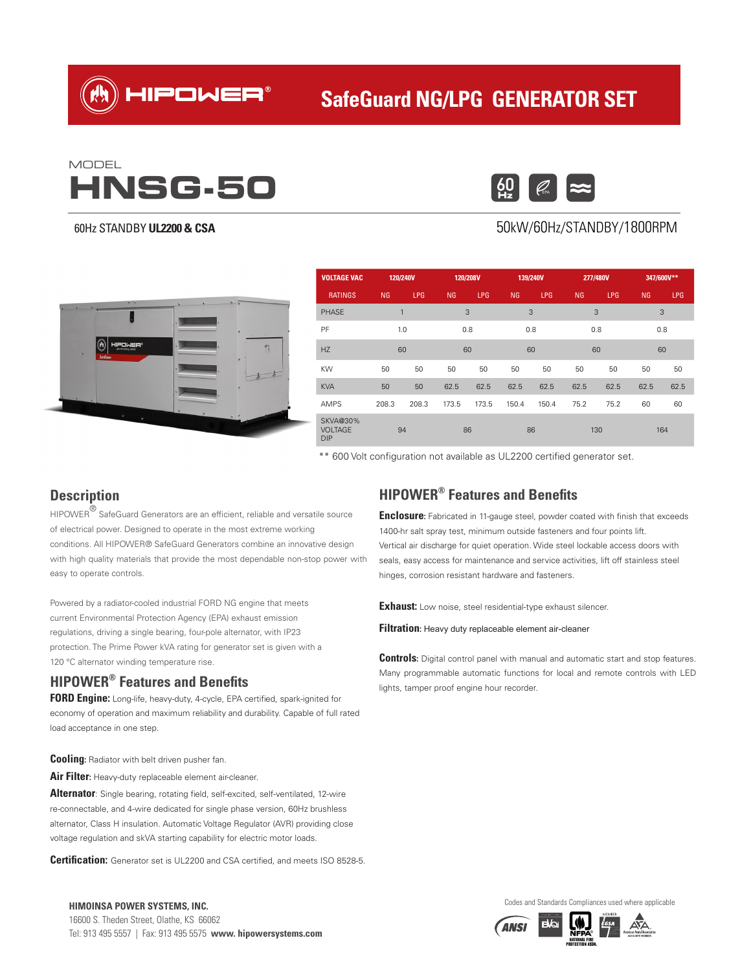HIPOWER®

# **SafeGuard NG/LPG GENERATOR SET**

# **HNSG-50** MODEL

#### 60Hz STANDBY **UL2200 & CSA**



### 50kW/60Hz/STANDBY/1800RPM



| <b>VOLTAGE VAC</b>                              | 120/240V |            | 120/208V  |            | 139/240V |            | 277/480V |            | 347/600V** |            |
|-------------------------------------------------|----------|------------|-----------|------------|----------|------------|----------|------------|------------|------------|
| <b>RATINGS</b>                                  | NG       | <b>LPG</b> | <b>NG</b> | <b>LPG</b> | NG       | <b>LPG</b> | NG       | <b>LPG</b> | NG         | <b>LPG</b> |
| <b>PHASE</b>                                    | 1        |            | 3         |            | 3        |            | 3        |            | 3          |            |
| PF                                              | 1.0      |            | 0.8       |            | 0.8      |            | 0.8      |            | 0.8        |            |
| <b>HZ</b>                                       | 60       |            | 60        |            | 60       |            | 60       |            | 60         |            |
| KW                                              | 50       | 50         | 50        | 50         | 50       | 50         | 50       | 50         | 50         | 50         |
| <b>KVA</b>                                      | 50       | 50         | 62.5      | 62.5       | 62.5     | 62.5       | 62.5     | 62.5       | 62.5       | 62.5       |
| <b>AMPS</b>                                     | 208.3    | 208.3      | 173.5     | 173.5      | 150.4    | 150.4      | 75.2     | 75.2       | 60         | 60         |
| <b>SKVA@30%</b><br><b>VOLTAGE</b><br><b>DIP</b> | 94       |            | 86        |            |          | 86         |          | 130        |            | 164        |

\*\* 600 Volt configuration not available as UL2200 certified generator set.

### **Description**

 $HIPOWER^{\circledR}$  SafeGuard Generators are an efficient, reliable and versatile source of electrical power. Designed to operate in the most extreme working conditions. All HIPOWER® SafeGuard Generators combine an innovative design with high quality materials that provide the most dependable non-stop power with easy to operate controls.

Powered by a radiator-cooled industrial FORD NG engine that meets current Environmental Protection Agency (EPA) exhaust emission regulations, driving a single bearing, four-pole alternator, with IP23 protection. The Prime Power kVA rating for generator set is given with a 120 °C alternator winding temperature rise.

#### **HIPOWER® Features and Benefits**

**FORD Engine:** Long-life, heavy-duty, 4-cycle, EPA certified, spark-ignited for economy of operation and maximum reliability and durability. Capable of full rated load acceptance in one step.

**Cooling:** Radiator with belt driven pusher fan.

**Air Filter:** Heavy-duty replaceable element air-cleaner.

**Alternator**: Single bearing, rotating field, self-excited, self-ventilated, 12-wire re-connectable, and 4-wire dedicated for single phase version, 60Hz brushless alternator, Class H insulation. Automatic Voltage Regulator (AVR) providing close voltage regulation and skVA starting capability for electric motor loads.

**Certification:** Generator set is UL2200 and CSA certified, and meets ISO 8528-5.

16600 S. Theden Street, Olathe, KS 66062 Tel: 913 495 5557 | Fax: 913 495 5575 **www. hipowersystems.com**

## **HIPOWER® Features and Benefits**

**Enclosure:** Fabricated in 11-gauge steel, powder coated with finish that exceeds 1400-hr salt spray test, minimum outside fasteners and four points lift. Vertical air discharge for quiet operation. Wide steel lockable access doors with seals, easy access for maintenance and service activities, lift off stainless steel hinges, corrosion resistant hardware and fasteners.

**Exhaust:** Low noise, steel residential-type exhaust silencer.

**Filtration:** Heavy duty replaceable element air-cleaner

**Controls:** Digital control panel with manual and automatic start and stop features. Many programmable automatic functions for local and remote controls with LED lights, tamper proof engine hour recorder.





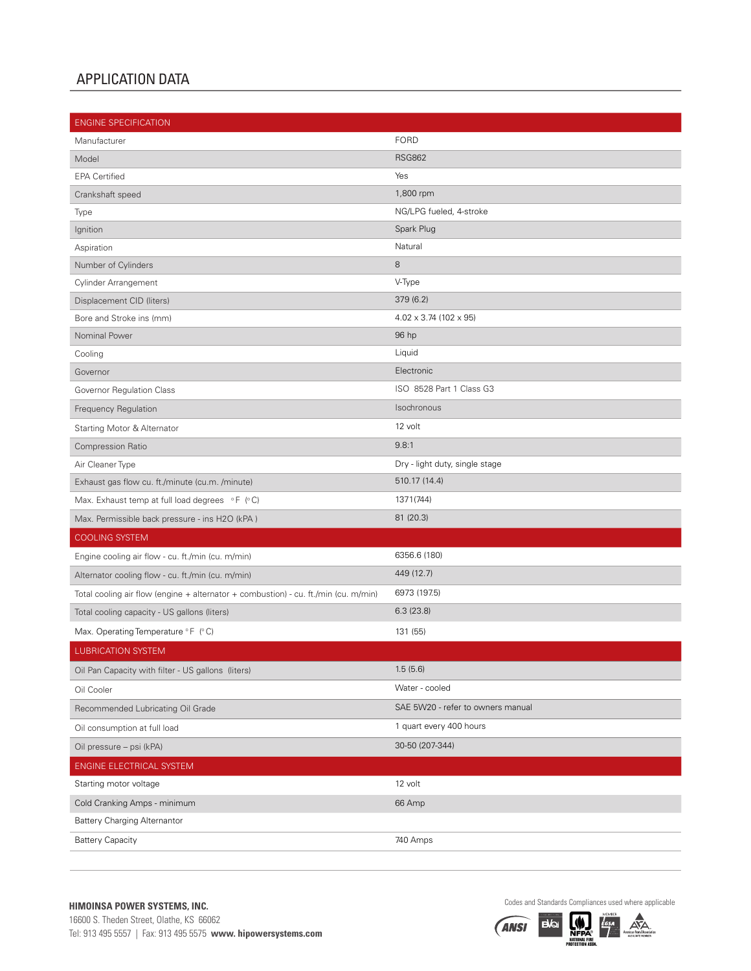#### APPLICATION DATA

| <b>ENGINE SPECIFICATION</b>                                                         |                                      |
|-------------------------------------------------------------------------------------|--------------------------------------|
| Manufacturer                                                                        | <b>FORD</b>                          |
| Model                                                                               | <b>RSG862</b>                        |
| <b>EPA Certified</b>                                                                | Yes                                  |
| Crankshaft speed                                                                    | 1,800 rpm                            |
| Type                                                                                | NG/LPG fueled, 4-stroke              |
| Ignition                                                                            | Spark Plug                           |
| Aspiration                                                                          | Natural                              |
| Number of Cylinders                                                                 | 8                                    |
| Cylinder Arrangement                                                                | V-Type                               |
| Displacement CID (liters)                                                           | 379 (6.2)                            |
| Bore and Stroke ins (mm)                                                            | $4.02 \times 3.74$ (102 $\times$ 95) |
| Nominal Power                                                                       | 96 hp                                |
| Cooling                                                                             | Liquid                               |
| Governor                                                                            | Electronic                           |
| Governor Regulation Class                                                           | ISO 8528 Part 1 Class G3             |
| Frequency Regulation                                                                | Isochronous                          |
| Starting Motor & Alternator                                                         | 12 volt                              |
| Compression Ratio                                                                   | 9.8:1                                |
| Air Cleaner Type                                                                    | Dry - light duty, single stage       |
| Exhaust gas flow cu. ft./minute (cu.m. /minute)                                     | 510.17 (14.4)                        |
| Max. Exhaust temp at full load degrees °F (°C)                                      | 1371(744)                            |
| Max. Permissible back pressure - ins H2O (kPA)                                      | 81 (20.3)                            |
| <b>COOLING SYSTEM</b>                                                               |                                      |
| Engine cooling air flow - cu. ft./min (cu. m/min)                                   | 6356.6 (180)                         |
| Alternator cooling flow - cu. ft./min (cu. m/min)                                   | 449 (12.7)                           |
| Total cooling air flow (engine + alternator + combustion) - cu. ft./min (cu. m/min) | 6973 (197.5)                         |
| Total cooling capacity - US gallons (liters)                                        | 6.3(23.8)                            |
| Max. Operating Temperature °F (°C)                                                  | 131 (55)                             |
| <b>LUBRICATION SYSTEM</b>                                                           |                                      |
| Oil Pan Capacity with filter - US gallons (liters)                                  | 1.5(5.6)                             |
| Oil Cooler                                                                          | Water - cooled                       |
| Recommended Lubricating Oil Grade                                                   | SAE 5W20 - refer to owners manual    |
| Oil consumption at full load                                                        | 1 quart every 400 hours              |
| Oil pressure - psi (kPA)                                                            | 30-50 (207-344)                      |
| ENGINE ELECTRICAL SYSTEM                                                            |                                      |
| Starting motor voltage                                                              | 12 volt                              |
| Cold Cranking Amps - minimum                                                        | 66 Amp                               |
| <b>Battery Charging Alternantor</b>                                                 |                                      |
| <b>Battery Capacity</b>                                                             | 740 Amps                             |

**Example 2008 STANDARD STANDARD SYSTEMS, INC.**<br>
16600 S. The den Street, Olathe, KS 66062<br>
16600 S. The dentis can be a proper comparison of the contract of the comparison of the comparison of the comparison of the compari 16600 S. Theden Street, Olathe, KS 66062 Tel: 913 495 5557 | Fax: 913 495 5575 **www. hipowersystems.com**

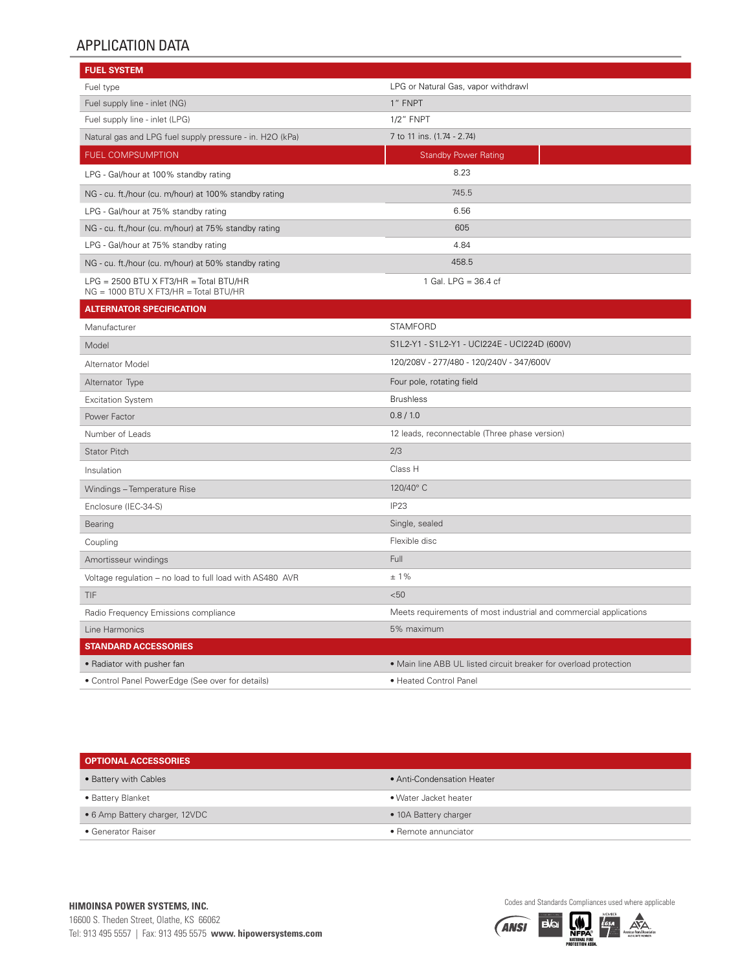## APPLICATION DATA

| <b>FUEL SYSTEM</b>                                                                       |                                                                   |
|------------------------------------------------------------------------------------------|-------------------------------------------------------------------|
| Fuel type                                                                                | LPG or Natural Gas, vapor withdrawl                               |
| Fuel supply line - inlet (NG)                                                            | 1" FNPT                                                           |
| Fuel supply line - inlet (LPG)                                                           | <b>1/2" FNPT</b>                                                  |
| Natural gas and LPG fuel supply pressure - in. H2O (kPa)                                 | 7 to 11 ins. (1.74 - 2.74)                                        |
| <b>FUEL COMPSUMPTION</b>                                                                 | <b>Standby Power Rating</b>                                       |
| LPG - Gal/hour at 100% standby rating                                                    | 8.23                                                              |
| NG - cu. ft./hour (cu. m/hour) at 100% standby rating                                    | 745.5                                                             |
| LPG - Gal/hour at 75% standby rating                                                     | 6.56                                                              |
| NG - cu. ft./hour (cu. m/hour) at 75% standby rating                                     | 605                                                               |
| LPG - Gal/hour at 75% standby rating                                                     | 4.84                                                              |
| NG - cu. ft./hour (cu. m/hour) at 50% standby rating                                     | 458.5                                                             |
| $LPG = 2500 BTU \times FT3/HR = Total BTU/HR$<br>$NG = 1000$ BTU X FT3/HR = Total BTU/HR | 1 Gal. LPG = 36.4 cf                                              |
| <b>ALTERNATOR SPECIFICATION</b>                                                          |                                                                   |
| Manufacturer                                                                             | <b>STAMFORD</b>                                                   |
| Model                                                                                    | S1L2-Y1 - S1L2-Y1 - UCI224E - UCI224D (600V)                      |
| Alternator Model                                                                         | 120/208V - 277/480 - 120/240V - 347/600V                          |
| Alternator Type                                                                          | Four pole, rotating field                                         |
| <b>Excitation System</b>                                                                 | <b>Brushless</b>                                                  |
| Power Factor                                                                             | 0.8/1.0                                                           |
| Number of Leads                                                                          | 12 leads, reconnectable (Three phase version)                     |
| Stator Pitch                                                                             | 2/3                                                               |
| Insulation                                                                               | Class H                                                           |
| Windings - Temperature Rise                                                              | 120/40°C                                                          |
| Enclosure (IEC-34-S)                                                                     | IP <sub>23</sub>                                                  |
| Bearing                                                                                  | Single, sealed                                                    |
| Coupling                                                                                 | Flexible disc                                                     |
| Amortisseur windings                                                                     | Full                                                              |
| Voltage regulation - no load to full load with AS480 AVR                                 | $±1\%$                                                            |
| TIF                                                                                      | < 50                                                              |
| Radio Frequency Emissions compliance                                                     | Meets requirements of most industrial and commercial applications |
| Line Harmonics                                                                           | 5% maximum                                                        |
| <b>STANDARD ACCESSORIES</b>                                                              |                                                                   |
| • Radiator with pusher fan                                                               | • Main line ABB UL listed circuit breaker for overload protection |
| • Control Panel PowerEdge (See over for details)                                         | • Heated Control Panel                                            |

| <b>OPTIONAL ACCESSORIES</b>    |                            |  |  |  |
|--------------------------------|----------------------------|--|--|--|
| • Battery with Cables          | • Anti-Condensation Heater |  |  |  |
| • Battery Blanket              | • Water Jacket heater      |  |  |  |
| • 6 Amp Battery charger, 12VDC | • 10A Battery charger      |  |  |  |
| • Generator Raiser             | • Remote annunciator       |  |  |  |